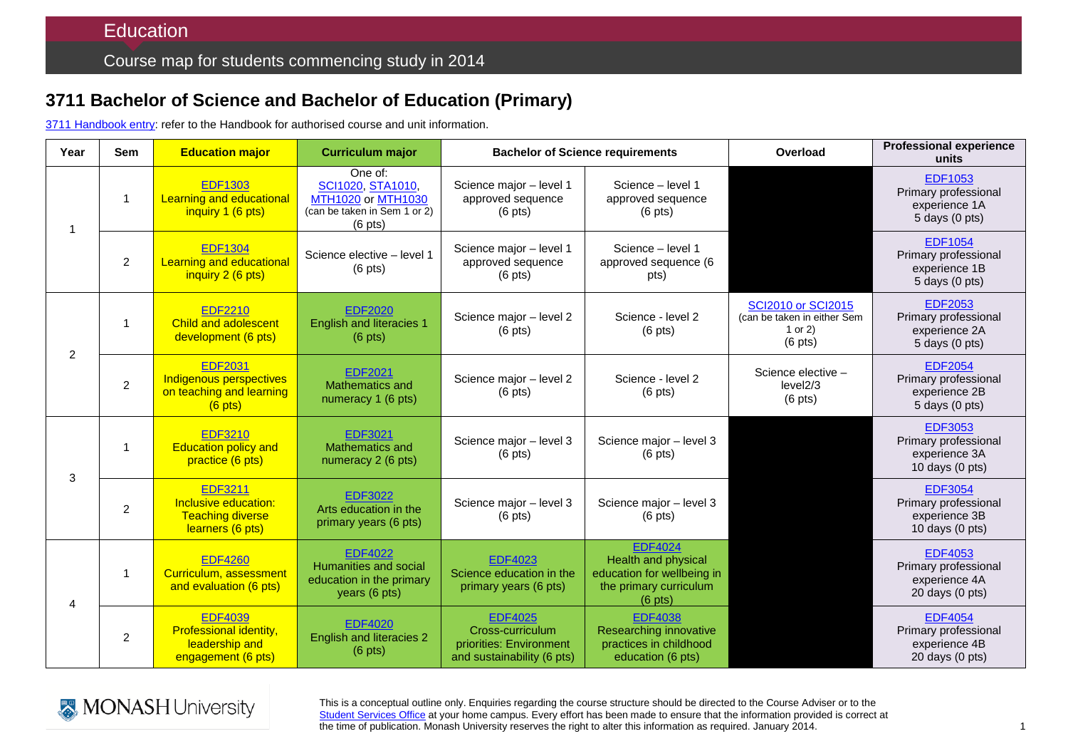## **3711 Bachelor of Science and Bachelor of Education (Primary)**

3711 [Handbook entry:](http://www.monash.edu.au/pubs/2014handbooks/courses/3711.html) refer to the Handbook for authorised course and unit information.

| Year           | <b>Sem</b>     | <b>Education major</b>                                                                  | <b>Curriculum major</b>                                                                                 | <b>Bachelor of Science requirements</b>                                                     |                                                                                                            | Overload                                                                           | <b>Professional experience</b><br>units                                              |
|----------------|----------------|-----------------------------------------------------------------------------------------|---------------------------------------------------------------------------------------------------------|---------------------------------------------------------------------------------------------|------------------------------------------------------------------------------------------------------------|------------------------------------------------------------------------------------|--------------------------------------------------------------------------------------|
| $\overline{1}$ | $\mathbf{1}$   | <b>EDF1303</b><br><b>Learning and educational</b><br>inquiry 1 (6 pts)                  | One of:<br>SCI1020, STA1010,<br>MTH1020 or MTH1030<br>(can be taken in Sem 1 or 2)<br>$(6 \text{ pts})$ | Science major - level 1<br>approved sequence<br>$(6 \text{ pts})$                           | Science - level 1<br>approved sequence<br>$(6 \text{ pts})$                                                |                                                                                    | <b>EDF1053</b><br>Primary professional<br>experience 1A<br>5 days (0 pts)            |
|                | $\overline{2}$ | <b>EDF1304</b><br><b>Learning and educational</b><br>inquiry 2 (6 pts)                  | Science elective - level 1<br>$(6 \text{ pts})$                                                         | Science major - level 1<br>approved sequence<br>$(6 \text{ pts})$                           | Science - level 1<br>approved sequence (6<br>pts)                                                          |                                                                                    | <b>EDF1054</b><br>Primary professional<br>experience 1B<br>$5$ days $(0$ pts)        |
| 2              | $\mathbf{1}$   | <b>EDF2210</b><br><b>Child and adolescent</b><br>development (6 pts)                    | <b>EDF2020</b><br><b>English and literacies 1</b><br>$(6 \text{ pts})$                                  | Science major - level 2<br>$(6 \text{ pts})$                                                | Science - level 2<br>$(6 \text{ pts})$                                                                     | <b>SCI2010 or SCI2015</b><br>(can be taken in either Sem<br>1 or $2)$<br>$(6$ pts) | <b>EDF2053</b><br>Primary professional<br>experience 2A<br>$5$ days $(0$ pts)        |
|                | $\overline{2}$ | <b>EDF2031</b><br>Indigenous perspectives<br>on teaching and learning<br>$(6$ pts)      | <b>EDF2021</b><br>Mathematics and<br>numeracy 1 (6 pts)                                                 | Science major - level 2<br>$(6 \text{ pts})$                                                | Science - level 2<br>$(6 \text{ pts})$                                                                     | Science elective -<br>level2/3<br>$(6$ pts)                                        | <b>EDF2054</b><br>Primary professional<br>experience 2B<br>5 days (0 pts)            |
| 3              | $\mathbf{1}$   | <b>EDF3210</b><br><b>Education policy and</b><br>practice (6 pts)                       | <b>EDF3021</b><br>Mathematics and<br>numeracy 2 (6 pts)                                                 | Science major - level 3<br>$(6 \text{ pts})$                                                | Science major - level 3<br>$(6 \text{ pts})$                                                               |                                                                                    | <b>EDF3053</b><br>Primary professional<br>experience 3A<br>10 days $(0 \text{ pts})$ |
|                | $\overline{c}$ | <b>EDF3211</b><br>Inclusive education:<br><b>Teaching diverse</b><br>learners (6 pts)   | <b>EDF3022</b><br>Arts education in the<br>primary years (6 pts)                                        | Science major - level 3<br>$(6 \text{ pts})$                                                | Science major - level 3<br>$(6 \text{ pts})$                                                               |                                                                                    | <b>EDF3054</b><br>Primary professional<br>experience 3B<br>10 days (0 pts)           |
| $\overline{4}$ | $\mathbf{1}$   | <b>EDF4260</b><br>Curriculum, assessment<br>and evaluation (6 pts)                      | <b>EDF4022</b><br>Humanities and social<br>education in the primary<br>years $(6 \text{ pts})$          | <b>EDF4023</b><br>Science education in the<br>primary years (6 pts)                         | <b>EDF4024</b><br>Health and physical<br>education for wellbeing in<br>the primary curriculum<br>$(6$ pts) |                                                                                    | <b>EDF4053</b><br>Primary professional<br>experience 4A<br>20 days (0 pts)           |
|                | $\overline{c}$ | <b>EDF4039</b><br><b>Professional identity,</b><br>leadership and<br>engagement (6 pts) | <b>EDF4020</b><br><b>English and literacies 2</b><br>$(6 \text{ pts})$                                  | <b>EDF4025</b><br>Cross-curriculum<br>priorities: Environment<br>and sustainability (6 pts) | <b>EDF4038</b><br>Researching innovative<br>practices in childhood<br>education (6 pts)                    |                                                                                    | <b>EDF4054</b><br>Primary professional<br>experience 4B<br>20 days (0 pts)           |



This is a conceptual outline only. Enquiries regarding the course structure should be directed to the Course Adviser or to the [Student Services Office](http://education.monash.edu.au/students/current/admin/student-services-offices.html) at your home campus. Every effort has been made to ensure that the information provided is correct at the time of publication. Monash University reserves the right to alter this information as required. January 2014.